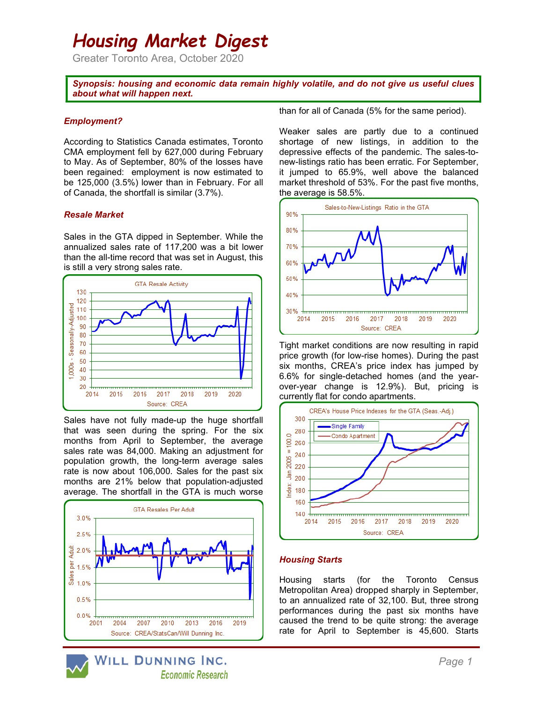# Housing Market Digest

Greater Toronto Area, October 2020

Synopsis: housing and economic data remain highly volatile, and do not give us useful clues about what will happen next.

### Employment?

According to Statistics Canada estimates, Toronto CMA employment fell by 627,000 during February to May. As of September, 80% of the losses have been regained: employment is now estimated to be 125,000 (3.5%) lower than in February. For all of Canada, the shortfall is similar (3.7%).

## Resale Market

Sales in the GTA dipped in September. While the annualized sales rate of 117,200 was a bit lower than the all-time record that was set in August, this is still a very strong sales rate.



Sales have not fully made-up the huge shortfall that was seen during the spring. For the six months from April to September, the average sales rate was 84,000. Making an adjustment for population growth, the long-term average sales rate is now about 106,000. Sales for the past six months are 21% below that population-adjusted average. The shortfall in the GTA is much worse



than for all of Canada (5% for the same period).

Weaker sales are partly due to a continued shortage of new listings, in addition to the depressive effects of the pandemic. The sales-tonew-listings ratio has been erratic. For September, it jumped to 65.9%, well above the balanced market threshold of 53%. For the past five months, the average is 58.5%.



Tight market conditions are now resulting in rapid price growth (for low-rise homes). During the past six months, CREA's price index has jumped by 6.6% for single-detached homes (and the yearover-year change is 12.9%). But, pricing is currently flat for condo apartments.



## Housing Starts

Housing starts (for the Toronto Census Metropolitan Area) dropped sharply in September, to an annualized rate of 32,100. But, three strong performances during the past six months have caused the trend to be quite strong: the average rate for April to September is 45,600. Starts